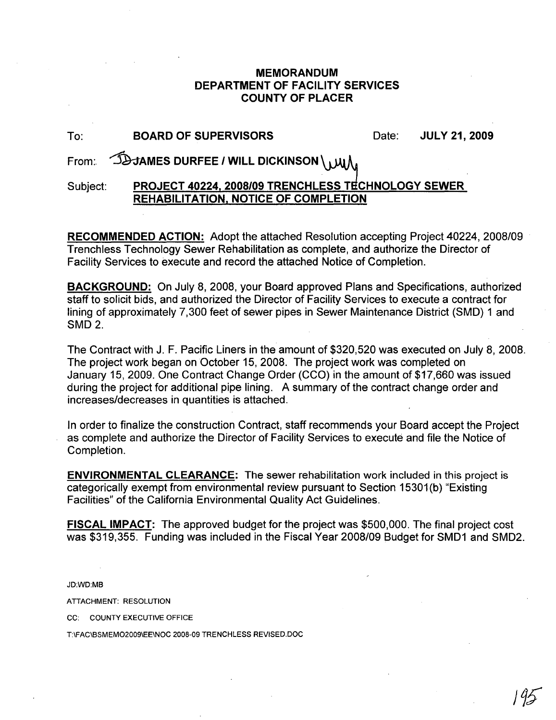## **MEMORANDUM DEPARTMENT OF FACILITY SERVICES COUNTY OF PLACER**

| To:      | <b>BOARD OF SUPERVISORS</b>                                                                       | Date: | <b>JULY 21, 2009</b> |
|----------|---------------------------------------------------------------------------------------------------|-------|----------------------|
|          | From: JOJAMES DURFEE / WILL DICKINSON \ MIL                                                       |       |                      |
| Subject: | PROJECT 40224, 2008/09 TRENCHLESS TECHNOLOGY SEWER<br><b>REHABILITATION, NOTICE OF COMPLETION</b> |       |                      |

**RECOMMENDED ACTION:** Adopt the attached Resolution accepting Project 40224, 2008/09 Trenchless Technology Sewer Rehabilitation as complete, and authorize the Director of Facility Services to execute and record the attached Notice of Completion.

**BACKGROUND:** On July 8, 2008, your Board approved Plans and Specifications, authorized staff to solicit bids, and authorized the Director of Facility Services to execute a contract for lining of approximately 7,300 feet of sewer pipes in Sewer Maintenance District (SMD) 1 and SMD2.

The Contract with J. F. Pacific Liners in the amount of \$320,520 was executed on July 8,2008. The project work began on October 15, 2008. The project work was completed on January 15, 2009. One Contract Change Order (CCO) in the amount of \$17,660 was issued during the project for additional pipe lining. A summary of the contract change order and increases/decreases in quantities is attached.

In order to finalize the construction Contract, staff recommends your Board accept the Project as complete and authorize the Director of Facility Services to execute and file the Notice of Completion.

**ENVIRONMENTAL CLEARANCE:** The sewer rehabilitation work included in this project is categorically exempt from environmental review pursuant to Section 15301(b) "Existing Facilities" of the California Environmental Quality Act Guidelines.

**FISCAL IMPACT:** The approved budget for the project was \$500,000. The final project cost was \$319,355. Funding was included in the Fiscal Year 2008/09 Budget for SMD1 and SMD2.

JD:WD:MB

ATTACHMENT: RESOLUTION

CC: COUNTY EXECUTIVE OFFICE

T\FAC\BSMEM02009\EE\NOC *2008-09* TRENCHLESS REVISED.DOC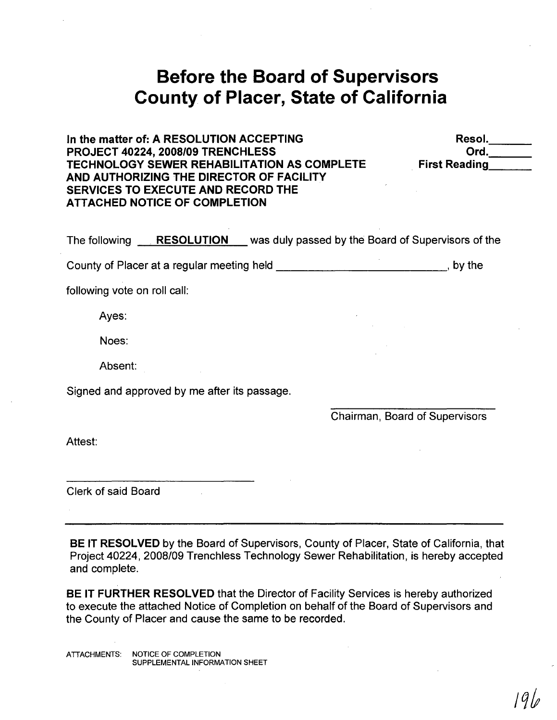# **Before the Board of Supervisors County of Placer, State of California**

In the matter of: A RESOLUTION ACCEPTING PROJECT 40224, 2008/09 TRENCHLESS TECHNOLOGY SEWER REHABILITATION AS COMPLETE AND AUTHORIZING THE DIRECTOR OF FACILITY SERVICES TO EXECUTE AND RECORD THE ATTACHED NOTICE OF COMPLETION

Resol. \_ Ord. . First Reading, \_

The following **RESOLUTION** was duly passed by the Board of Supervisors of the

County of Placer at a regular meeting held \_\_\_\_\_\_\_\_\_\_\_\_\_\_\_\_\_\_\_\_\_\_\_\_\_\_\_\_\_\_\_\_, by the

following vote on roll call:

Ayes:

Noes:

Absent:

Signed and approved by me after its passage.

Chairman, Board of Supervisors

Attest:

Clerk of said Board

BE IT RESOLVED by the Board of Supervisors, County of Placer, State of California, that Project *40224,2008/09* Trenchless Technology Sewer Rehabilitation, is hereby accepted and complete.

BE IT FURTHER RESOLVED that the Director of Facility Services is hereby authorized to execute the attached Notice of Completion on behalf of the Board of Supervisors and the County of Placer and cause the same to be recorded.

ATTACHMENTS: NOTICE OF COMPLETION SUPPLEMENTAL INFORMATION SHEET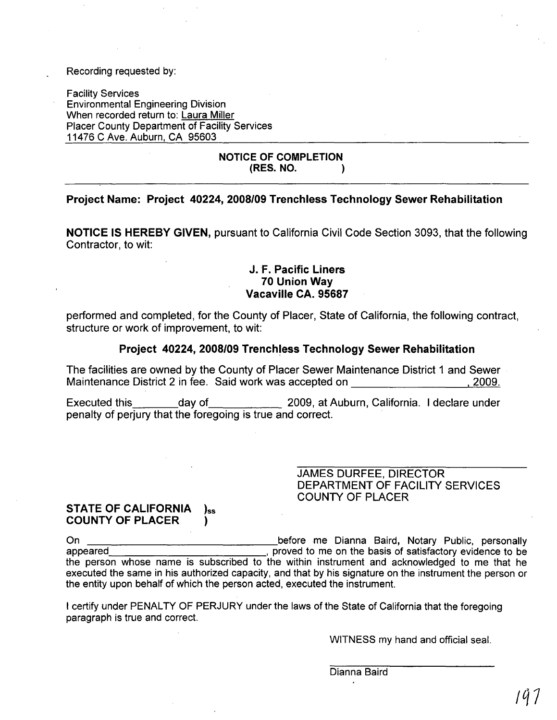#### Recording requested by:

Facility Services Environmental Engineering Division When recorded return to: Laura Miller Placer County Department of Facility Services 11476 C Ave. Auburn, CA 95603

#### NOTICE OF COMPLETION (RES. NO. )

## Project Name: Project 40224, 2008/09 Trenchless Technology Sewer Rehabilitation

NOTICE IS HEREBY GIVEN, pursuant to California Civil Code Section 3093, that the following Contractor, to wit:

## J.F. Pacific Liners 70 Union Way Vacaville CA. 95687

performed and completed, for the County of Placer, State of California, the following contract, structure or work of improvement, to wit:

#### Project 40224, 2008/09 Trenchless Technology Sewer Rehabilitation

The facilities are owned by the County of Placer Sewer Maintenance District 1 and Sewer Maintenance District 2 in fee. Said work was accepted on  $\sim$  2009.

Executed this day of 2009, at Auburn, California. I declare under penalty of perjury that the foregoing is true and correct.

> JAMES DURFEE, DIRECTOR DEPARTMENT OF FACILITY SERVICES COUNTY OF PLACER

#### STATE OF CALIFORNIA )ss COUNTY OF PLACER )

On before me Dianna Baird, Notary Public, personally appeared , proved to me on the basis of satisfactory evidence to be the person whose name is subscribed to the within instrument and acknowledged to me that he executed the same in his authorized capacity, and that by his signature on the instrument the person or the entity upon behalf of which the person acted, executed the instrument.

I certify under PENALTY OF PERJURY under the laws of the State of California that the foregoing paragraph is true and correct.

WITNESS my hand and official seal.

Dianna Baird